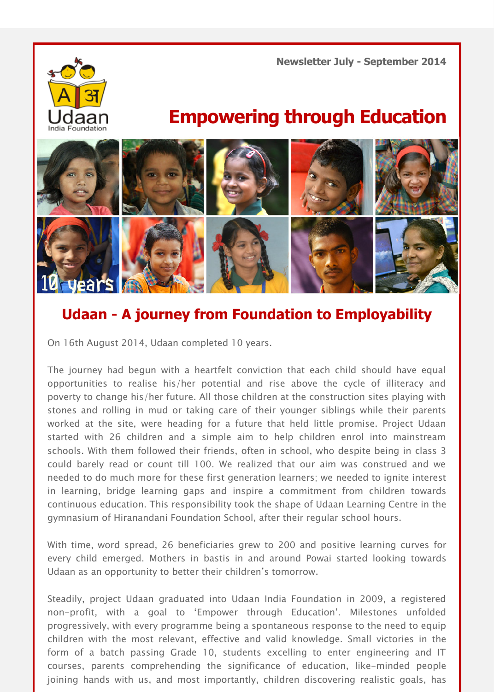**Newsletter July - September 2014**



## **Empowering through Education**



## **Udaan - A journey from Foundation to Employability**

On 16th August 2014, Udaan completed 10 years.

The journey had begun with a heartfelt conviction that each child should have equal opportunities to realise his/her potential and rise above the cycle of illiteracy and poverty to change his/her future. All those children at the construction sites playing with stones and rolling in mud or taking care of their younger siblings while their parents worked at the site, were heading for a future that held little promise. Project Udaan started with 26 children and a simple aim to help children enrol into mainstream schools. With them followed their friends, often in school, who despite being in class 3 could barely read or count till 100. We realized that our aim was construed and we needed to do much more for these first generation learners; we needed to ignite interest in learning, bridge learning gaps and inspire a commitment from children towards continuous education. This responsibility took the shape of Udaan Learning Centre in the gymnasium of Hiranandani Foundation School, after their regular school hours.

With time, word spread, 26 beneficiaries grew to 200 and positive learning curves for every child emerged. Mothers in bastis in and around Powai started looking towards Udaan as an opportunity to better their children's tomorrow.

Steadily, project Udaan graduated into Udaan India Foundation in 2009, a registered non-profit, with a goal to 'Empower through Education'. Milestones unfolded progressively, with every programme being a spontaneous response to the need to equip children with the most relevant, effective and valid knowledge. Small victories in the form of a batch passing Grade 10, students excelling to enter engineering and IT courses, parents comprehending the significance of education, like-minded people joining hands with us, and most importantly, children discovering realistic goals, has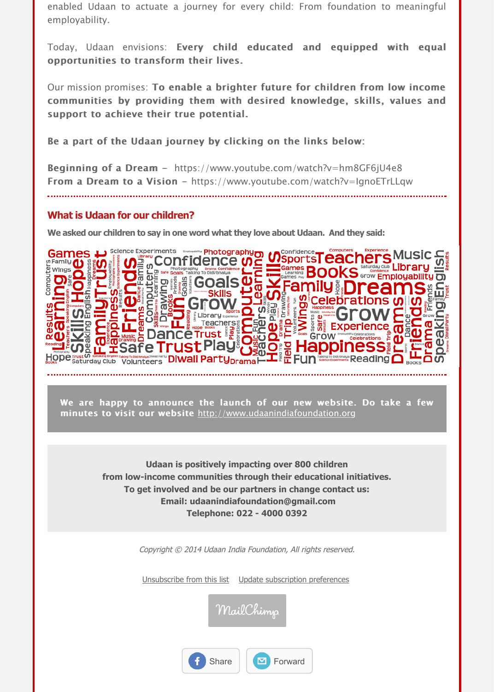Be a part of the Udaan journey by clicking on the links below:

**Beginning of a Dream** - https://www.youtube.com/watch?v=hm8GF6jU4e8 From a Dream to a Vision - https://www.youtube.com/watch?v=IgnoETrLLgw

## **What is Udaan for our children?**

**We asked our children to say in one word what they love about Udaan. And they said:**



We are happy to announce the launch of our new website. Do take a few minutes to visit our website http://www.udaanindiafoundation.org

> **Udaan is positively impacting over 800 children from low-income communities through their educational initiatives. To get involved and be our partners in change contact us: Email: udaanindiafoundation@gmail.com Telephone: 022 - 4000 0392**

> > Copyright © 20[14](http://www.udaanindiafoundation.org/) [Udaan](http://www.udaanindiafoundation.org/) [India](http://www.udaanindiafoundation.org/) [Foundation](http://www.udaanindiafoundation.org/), [All](http://www.udaanindiafoundation.org/) [rights](http://www.udaanindiafoundation.org/) [reserved](http://www.udaanindiafoundation.org/).

Unsubscribe from this list Update subscription preferences